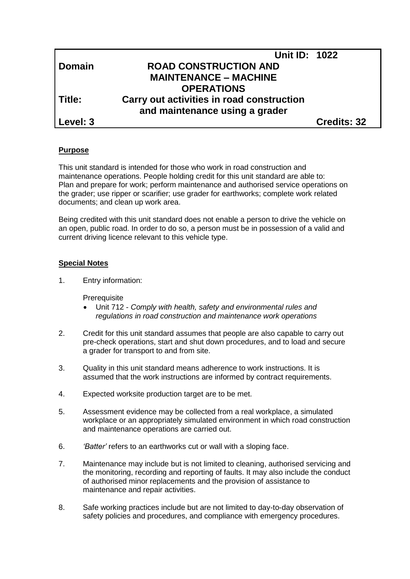|               | <b>Unit ID: 1022</b>                      |             |
|---------------|-------------------------------------------|-------------|
| <b>Domain</b> | <b>ROAD CONSTRUCTION AND</b>              |             |
|               | <b>MAINTENANCE – MACHINE</b>              |             |
|               | <b>OPERATIONS</b>                         |             |
| Title:        | Carry out activities in road construction |             |
|               | and maintenance using a grader            |             |
| Level: 3      |                                           | Credits: 32 |

#### **Purpose**

This unit standard is intended for those who work in road construction and maintenance operations. People holding credit for this unit standard are able to: Plan and prepare for work; perform maintenance and authorised service operations on the grader; use ripper or scarifier; use grader for earthworks; complete work related documents; and clean up work area.

Being credited with this unit standard does not enable a person to drive the vehicle on an open, public road. In order to do so, a person must be in possession of a valid and current driving licence relevant to this vehicle type.

#### **Special Notes**

1. Entry information:

**Prerequisite** 

- Unit 712 *Comply with health, safety and environmental rules and regulations in road construction and maintenance work operations*
- 2. Credit for this unit standard assumes that people are also capable to carry out pre-check operations, start and shut down procedures, and to load and secure a grader for transport to and from site.
- 3. Quality in this unit standard means adherence to work instructions. It is assumed that the work instructions are informed by contract requirements.
- 4. Expected worksite production target are to be met.
- 5. Assessment evidence may be collected from a real workplace, a simulated workplace or an appropriately simulated environment in which road construction and maintenance operations are carried out.
- 6. *'Batter'* refers to an earthworks cut or wall with a sloping face.
- 7. Maintenance may include but is not limited to cleaning, authorised servicing and the monitoring, recording and reporting of faults. It may also include the conduct of authorised minor replacements and the provision of assistance to maintenance and repair activities.
- 8. Safe working practices include but are not limited to day-to-day observation of safety policies and procedures, and compliance with emergency procedures.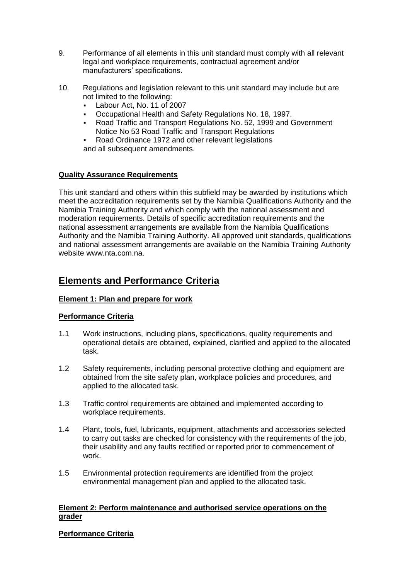- 9. Performance of all elements in this unit standard must comply with all relevant legal and workplace requirements, contractual agreement and/or manufacturers' specifications.
- 10. Regulations and legislation relevant to this unit standard may include but are not limited to the following:
	- Labour Act, No. 11 of 2007
	- Occupational Health and Safety Regulations No. 18, 1997.<br>• Road Traffic and Transport Regulations No. 52, 1999 and G
	- Road Traffic and Transport Regulations No. 52, 1999 and Government Notice No 53 Road Traffic and Transport Regulations
	- Road Ordinance 1972 and other relevant legislations

and all subsequent amendments.

#### **Quality Assurance Requirements**

This unit standard and others within this subfield may be awarded by institutions which meet the accreditation requirements set by the Namibia Qualifications Authority and the Namibia Training Authority and which comply with the national assessment and moderation requirements. Details of specific accreditation requirements and the national assessment arrangements are available from the Namibia Qualifications Authority and the Namibia Training Authority. All approved unit standards, qualifications and national assessment arrangements are available on the Namibia Training Authority website [www.nta.com.na.](http://www.nta.com.na/)

## **Elements and Performance Criteria**

#### **Element 1: Plan and prepare for work**

#### **Performance Criteria**

- 1.1 Work instructions, including plans, specifications, quality requirements and operational details are obtained, explained, clarified and applied to the allocated task.
- 1.2 Safety requirements, including personal protective clothing and equipment are obtained from the site safety plan, workplace policies and procedures, and applied to the allocated task.
- 1.3 Traffic control requirements are obtained and implemented according to workplace requirements.
- 1.4 Plant, tools, fuel, lubricants, equipment, attachments and accessories selected to carry out tasks are checked for consistency with the requirements of the job, their usability and any faults rectified or reported prior to commencement of work.
- 1.5 Environmental protection requirements are identified from the project environmental management plan and applied to the allocated task.

#### **Element 2: Perform maintenance and authorised service operations on the grader**

#### **Performance Criteria**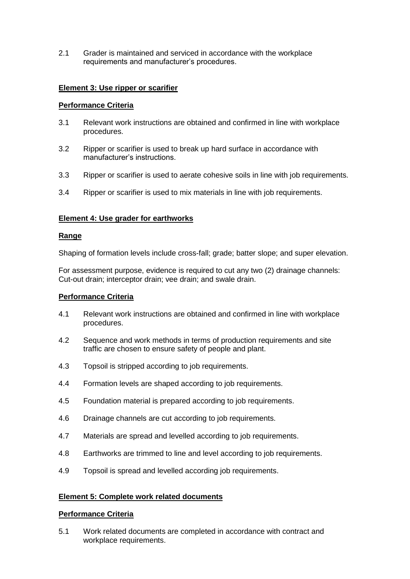2.1 Grader is maintained and serviced in accordance with the workplace requirements and manufacturer's procedures.

#### **Element 3: Use ripper or scarifier**

#### **Performance Criteria**

- 3.1 Relevant work instructions are obtained and confirmed in line with workplace procedures.
- 3.2 Ripper or scarifier is used to break up hard surface in accordance with manufacturer's instructions.
- 3.3 Ripper or scarifier is used to aerate cohesive soils in line with job requirements.
- 3.4 Ripper or scarifier is used to mix materials in line with job requirements.

#### **Element 4: Use grader for earthworks**

#### **Range**

Shaping of formation levels include cross-fall; grade; batter slope; and super elevation.

For assessment purpose, evidence is required to cut any two (2) drainage channels: Cut-out drain; interceptor drain; vee drain; and swale drain.

#### **Performance Criteria**

- 4.1 Relevant work instructions are obtained and confirmed in line with workplace procedures.
- 4.2 Sequence and work methods in terms of production requirements and site traffic are chosen to ensure safety of people and plant.
- 4.3 Topsoil is stripped according to job requirements.
- 4.4 Formation levels are shaped according to job requirements.
- 4.5 Foundation material is prepared according to job requirements.
- 4.6 Drainage channels are cut according to job requirements.
- 4.7 Materials are spread and levelled according to job requirements.
- 4.8 Earthworks are trimmed to line and level according to job requirements.
- 4.9 Topsoil is spread and levelled according job requirements.

### **Element 5: Complete work related documents**

#### **Performance Criteria**

5.1 Work related documents are completed in accordance with contract and workplace requirements.